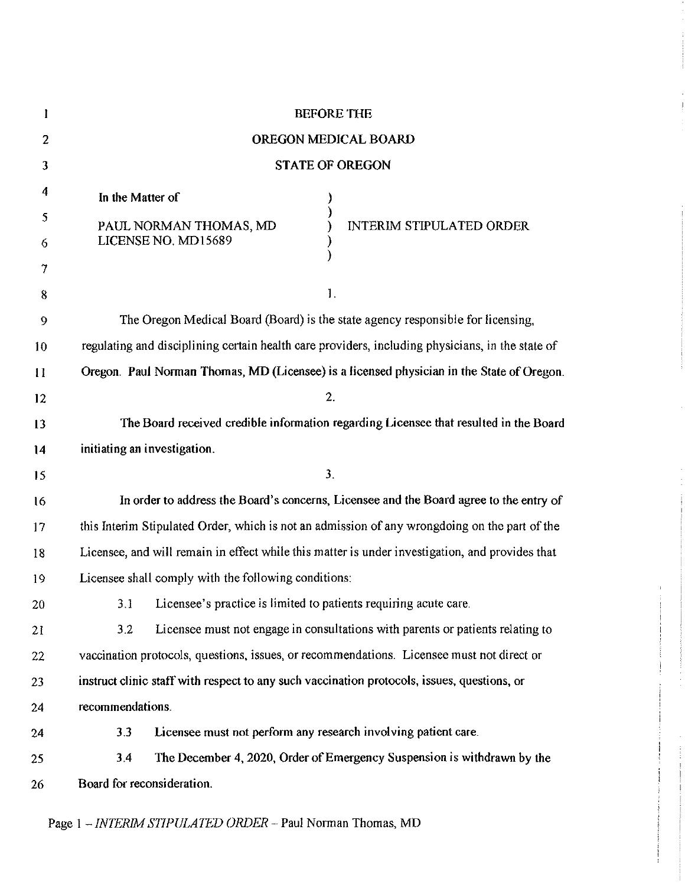| l              | <b>BEFORE THE</b>                                                                                |
|----------------|--------------------------------------------------------------------------------------------------|
| $\overline{c}$ | OREGON MEDICAL BOARD                                                                             |
| 3              | <b>STATE OF OREGON</b>                                                                           |
| 4              | In the Matter of                                                                                 |
| 5              | PAUL NORMAN THOMAS, MD<br><b>INTERIM STIPULATED ORDER</b>                                        |
| 6              | LICENSE NO. MD15689                                                                              |
| 7              |                                                                                                  |
| 8              | 1.                                                                                               |
| 9              | The Oregon Medical Board (Board) is the state agency responsible for licensing,                  |
| 10             | regulating and disciplining certain health care providers, including physicians, in the state of |
| $\mathbf{1}$   | Oregon. Paul Norman Thomas, MD (Licensee) is a licensed physician in the State of Oregon.        |
| 12             | 2.                                                                                               |
| 13             | The Board received credible information regarding Licensee that resulted in the Board            |
| 14             | initiating an investigation.                                                                     |
| 15             | 3.                                                                                               |
| 16             | In order to address the Board's concerns, Licensee and the Board agree to the entry of           |
| 17             | this Interim Stipulated Order, which is not an admission of any wrongdoing on the part of the    |
| 18             | Licensee, and will remain in effect while this matter is under investigation, and provides that  |
| 19             | Licensee shall comply with the following conditions:                                             |
| 20             | 3.1 Licensee's practice is limited to patients requiring acute care.                             |
| 21             | Licensee must not engage in consultations with parents or patients relating to<br>3.2            |
| 22             | vaccination protocols, questions, issues, or recommendations. Licensee must not direct or        |
| 23             | instruct clinic staff with respect to any such vaccination protocols, issues, questions, or      |
| 24             | recommendations.                                                                                 |
| 24             | Licensee must not perform any research involving patient care.<br>3.3                            |
| 25             | The December 4, 2020, Order of Emergency Suspension is withdrawn by the<br>3.4                   |
| 26             | Board for reconsideration.                                                                       |
|                |                                                                                                  |

Page <sup>1</sup> -*INTERIM STIPULATED ORDER* - Paul Norman Thomas, MD